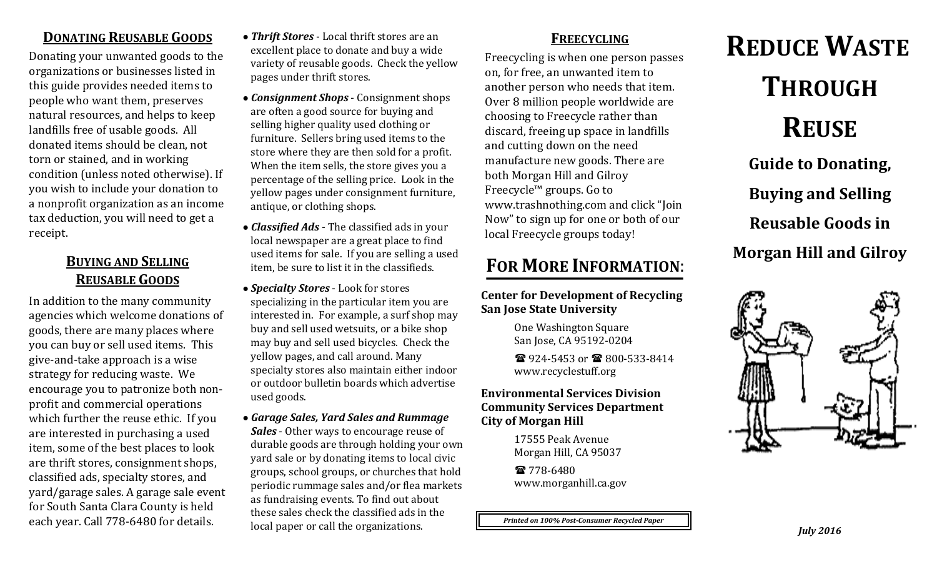### **DONATING REUSABLE GOODS**

Donating your unwanted goods to the organizations or businesses listed in this guide provides needed items to people who want them, preserves natural resources, and helps to keep landfills free of usable goods. All donated items should be clean, not torn or stained, and in working condition (unless noted otherwise). If you wish to include your donation to a nonprofit organization as an income tax deduction, you will need to get a receipt.

## **BUYING AND SELLING REUSABLE GOODS**

In addition to the many community agencies which welcome donations of goods, there are many places where you can buy or sell used items. This give-and-take approach is a wise strategy for reducing waste. We encourage you to patronize both nonprofit and commercial operations which further the reuse ethic. If you are interested in purchasing a used item, some of the best places to look are thrift stores, consignment shops, classified ads, specialty stores, and yard/garage sales. A garage sale event for South Santa Clara County is held each year. Call 778-6480 for details.

- *● Thrift Stores* Local thrift stores are an excellent place to donate and buy a wide variety of reusable goods. Check the yellow pages under thrift stores.
- *● Consignment Shops* Consignment shops are often a good source for buying and selling higher quality used clothing or furniture. Sellers bring used items to the store where they are then sold for a profit. When the item sells, the store gives you a percentage of the selling price. Look in the yellow pages under consignment furniture, antique, or clothing shops.
- *● Classified Ads* The classified ads in your local newspaper are a great place to find used items for sale. If you are selling a used item, be sure to list it in the classifieds.
- *● Specialty Stores* Look for stores specializing in the particular item you are interested in. For example, a surf shop may buy and sell used wetsuits, or a bike shop may buy and sell used bicycles. Check the yellow pages, and call around. Many specialty stores also maintain either indoor or outdoor bulletin boards which advertise used goods.
- *● Garage Sales, Yard Sales and Rummage Sales* - Other ways to encourage reuse of durable goods are through holding your own yard sale or by donating items to local civic groups, school groups, or churches that hold periodic rummage sales and/or flea markets as fundraising events. To find out about these sales check the classified ads in the local paper or call the organizations.

## **FREECYCLING**

Freecycling is when one person passes on, for free, an unwanted item to another person who needs that item. Over 8 million people worldwide are choosing to Freecycle rather than discard, freeing up space in landfills and cutting down on the need manufacture new goods. There are both Morgan Hill and Gilroy Freecycle™ groups. Go to www.trashnothing.com and click "Join Now" to sign up for one or both of our local Freecycle groups today!

# **FOR MORE INFORMATION**:

**Center for Development of Recycling San Jose State University**

> One Washington Square San Jose, CA 95192-0204

2 924-5453 or **8 800-533-8414** www.recyclestuff.org

#### **Environmental Services Division Community Services Department City of Morgan Hill**

17555 Peak Avenue Morgan Hill, CA 95037

☎ 778-6480 [www.morganhill.ca.gov](http://www.morganhill.ca.gov/)

*Printed on 100% Post-Consumer Recycled Paper*

**THROUGH REUSE Guide to Donating, Buying and Selling Reusable Goods in Morgan Hill and Gilroy**

**REDUCE WASTE**